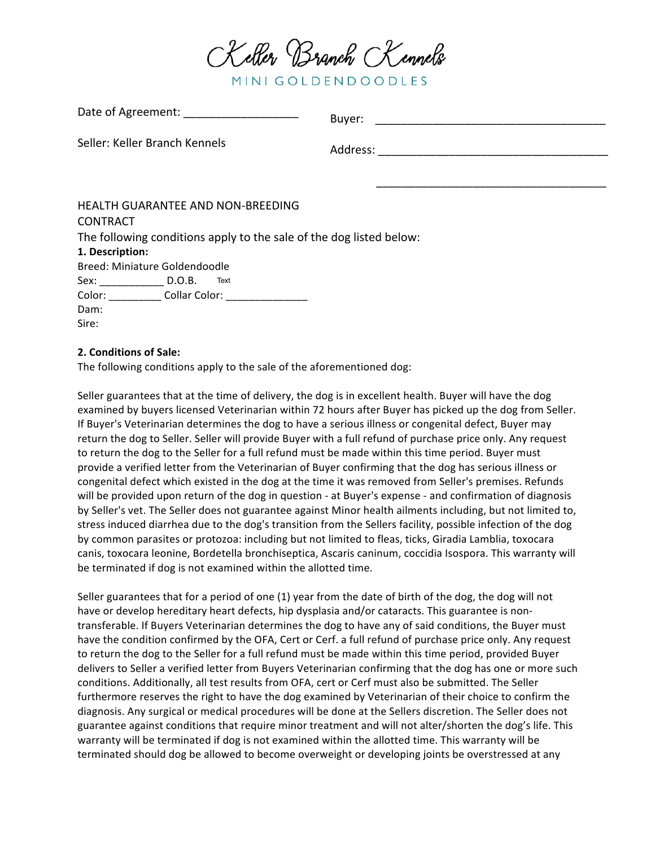

MINI GOLDENDOODLES

| Date of Agreement: ______________________                           | Buyer: |
|---------------------------------------------------------------------|--------|
| Seller: Keller Branch Kennels                                       |        |
|                                                                     |        |
|                                                                     |        |
| <b>HEALTH GUARANTEE AND NON-BREEDING</b>                            |        |
| <b>CONTRACT</b>                                                     |        |
| The following conditions apply to the sale of the dog listed below: |        |
| 1. Description:                                                     |        |
| Breed: Miniature Goldendoodle                                       |        |
| Sex: D.O.B. Text                                                    |        |
| Color: Collar Color: Color:                                         |        |
| Dam:                                                                |        |
| Sire:                                                               |        |

## **2. Conditions of Sale:**

 $D_{\text{abs}} = \frac{1}{2} \Lambda_{\text{max}} \times \frac{1}{2}$ 

The following conditions apply to the sale of the aforementioned dog:

Seller guarantees that at the time of delivery, the dog is in excellent health. Buyer will have the dog examined by buyers licensed Veterinarian within 72 hours after Buyer has picked up the dog from Seller. If Buyer's Veterinarian determines the dog to have a serious illness or congenital defect, Buyer may return the dog to Seller. Seller will provide Buyer with a full refund of purchase price only. Any request to return the dog to the Seller for a full refund must be made within this time period. Buyer must provide a verified letter from the Veterinarian of Buyer confirming that the dog has serious illness or congenital defect which existed in the dog at the time it was removed from Seller's premises. Refunds will be provided upon return of the dog in question - at Buyer's expense - and confirmation of diagnosis by Seller's vet. The Seller does not guarantee against Minor health ailments including, but not limited to, stress induced diarrhea due to the dog's transition from the Sellers facility, possible infection of the dog by common parasites or protozoa: including but not limited to fleas, ticks, Giradia Lamblia, toxocara canis, toxocara leonine, Bordetella bronchiseptica, Ascaris caninum, coccidia Isospora. This warranty will be terminated if dog is not examined within the allotted time.

Seller guarantees that for a period of one  $(1)$  year from the date of birth of the dog, the dog will not have or develop hereditary heart defects, hip dysplasia and/or cataracts. This guarantee is nontransferable. If Buyers Veterinarian determines the dog to have any of said conditions, the Buyer must have the condition confirmed by the OFA, Cert or Cerf. a full refund of purchase price only. Any request to return the dog to the Seller for a full refund must be made within this time period, provided Buyer delivers to Seller a verified letter from Buyers Veterinarian confirming that the dog has one or more such conditions. Additionally, all test results from OFA, cert or Cerf must also be submitted. The Seller furthermore reserves the right to have the dog examined by Veterinarian of their choice to confirm the diagnosis. Any surgical or medical procedures will be done at the Sellers discretion. The Seller does not guarantee against conditions that require minor treatment and will not alter/shorten the dog's life. This warranty will be terminated if dog is not examined within the allotted time. This warranty will be terminated should dog be allowed to become overweight or developing joints be overstressed at any